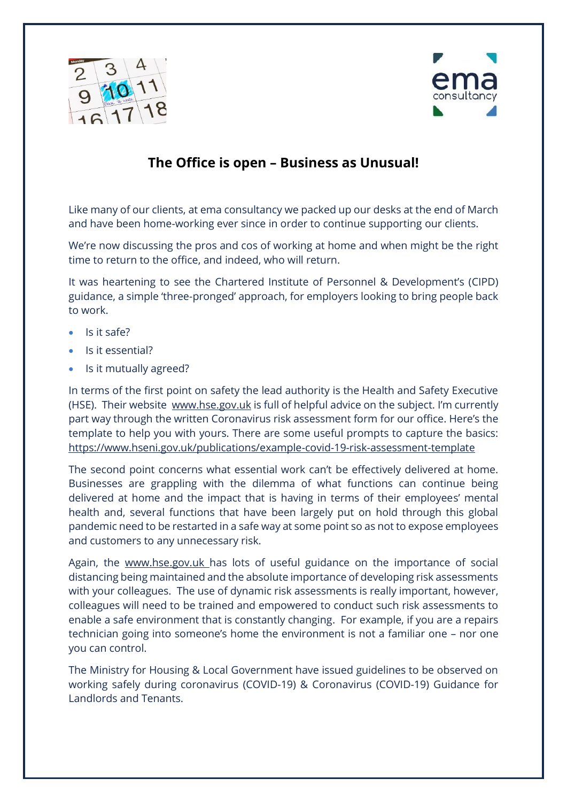



# **The Office is open – Business as Unusual!**

Like many of our clients, at ema consultancy we packed up our desks at the end of March and have been home-working ever since in order to continue supporting our clients.

We're now discussing the pros and cos of working at home and when might be the right time to return to the office, and indeed, who will return.

It was heartening to see the Chartered Institute of Personnel & Development's (CIPD) guidance, a simple 'three-pronged' approach, for employers looking to bring people back to work.

- Is it safe?
- Is it essential?
- Is it mutually agreed?

In terms of the first point on safety the lead authority is the Health and Safety Executive (HSE). Their website [www.hse.gov.uk](http://www.hse.gov.uk/) is full of helpful advice on the subject. I'm currently part way through the written Coronavirus risk assessment form for our office. Here's the template to help you with yours. There are some useful prompts to capture the basics: <https://www.hseni.gov.uk/publications/example-covid-19-risk-assessment-template>

The second point concerns what essential work can't be effectively delivered at home. Businesses are grappling with the dilemma of what functions can continue being delivered at home and the impact that is having in terms of their employees' mental health and, several functions that have been largely put on hold through this global pandemic need to be restarted in a safe way at some point so as not to expose employees and customers to any unnecessary risk.

Again, the [www.hse.gov.uk](http://www.hse.gov.uk/) has lots of useful guidance on the importance of social distancing being maintained and the absolute importance of developing risk assessments with your colleagues. The use of dynamic risk assessments is really important, however, colleagues will need to be trained and empowered to conduct such risk assessments to enable a safe environment that is constantly changing. For example, if you are a repairs technician going into someone's home the environment is not a familiar one – nor one you can control.

The Ministry for Housing & Local Government have issued guidelines to be observed on working safely during coronavirus (COVID-19) & Coronavirus (COVID-19) Guidance for Landlords and Tenants.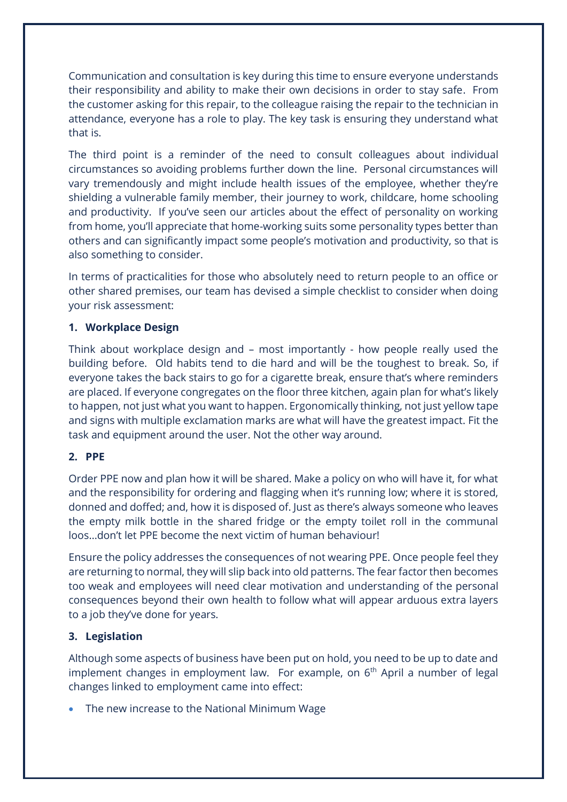Communication and consultation is key during this time to ensure everyone understands their responsibility and ability to make their own decisions in order to stay safe. From the customer asking for this repair, to the colleague raising the repair to the technician in attendance, everyone has a role to play. The key task is ensuring they understand what that is.

The third point is a reminder of the need to consult colleagues about individual circumstances so avoiding problems further down the line. Personal circumstances will vary tremendously and might include health issues of the employee, whether they're shielding a vulnerable family member, their journey to work, childcare, home schooling and productivity. If you've seen our articles about the effect of personality on working from home, you'll appreciate that home-working suits some personality types better than others and can significantly impact some people's motivation and productivity, so that is also something to consider.

In terms of practicalities for those who absolutely need to return people to an office or other shared premises, our team has devised a simple checklist to consider when doing your risk assessment:

#### **1. Workplace Design**

Think about workplace design and – most importantly - how people really used the building before. Old habits tend to die hard and will be the toughest to break. So, if everyone takes the back stairs to go for a cigarette break, ensure that's where reminders are placed. If everyone congregates on the floor three kitchen, again plan for what's likely to happen, not just what you want to happen. Ergonomically thinking, not just yellow tape and signs with multiple exclamation marks are what will have the greatest impact. Fit the task and equipment around the user. Not the other way around.

#### **2. PPE**

Order PPE now and plan how it will be shared. Make a policy on who will have it, for what and the responsibility for ordering and flagging when it's running low; where it is stored, donned and doffed; and, how it is disposed of. Just as there's always someone who leaves the empty milk bottle in the shared fridge or the empty toilet roll in the communal loos…don't let PPE become the next victim of human behaviour!

Ensure the policy addresses the consequences of not wearing PPE. Once people feel they are returning to normal, they will slip back into old patterns. The fear factor then becomes too weak and employees will need clear motivation and understanding of the personal consequences beyond their own health to follow what will appear arduous extra layers to a job they've done for years.

#### **3. Legislation**

Although some aspects of business have been put on hold, you need to be up to date and implement changes in employment law. For example, on  $6<sup>th</sup>$  April a number of legal changes linked to employment came into effect:

• The new increase to the National Minimum Wage